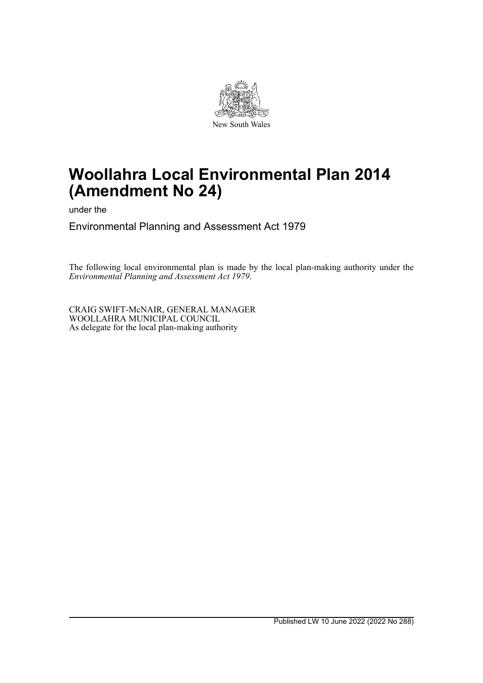

# **Woollahra Local Environmental Plan 2014 (Amendment No 24)**

under the

Environmental Planning and Assessment Act 1979

The following local environmental plan is made by the local plan-making authority under the *Environmental Planning and Assessment Act 1979*.

CRAIG SWIFT-McNAIR, GENERAL MANAGER WOOLLAHRA MUNICIPAL COUNCIL As delegate for the local plan-making authority